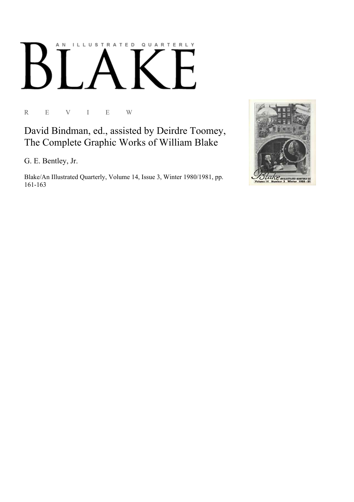## AN ILLUSTRATED QUARTERLY

R E V I E W

David Bindman, ed., assisted by Deirdre Toomey, The Complete Graphic Works of William Blake

G. E. Bentley, Jr.

Blake/An Illustrated Quarterly, Volume 14, Issue 3, Winter 1980/1981, pp. 161-163

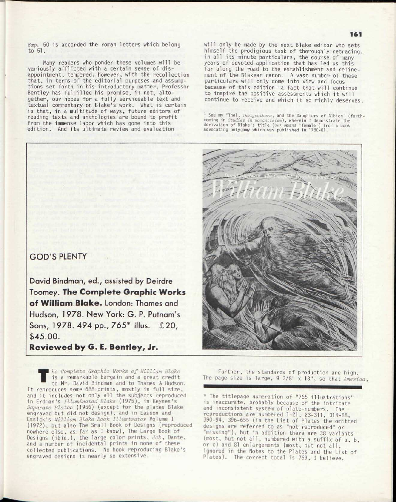*Exp.* 50 is accorded the roman letters which belong to 51.

Many readers who ponder these volumes will be variously afflicted with a certain sense of disappointment, tempered, however, with the recollection that, in terms of the editorial purposes and assumptions set forth in his introductory matter, Professor Bentley has fulfilled his promise, if not, altogether, our hopes for a fully serviceable text and textual commentary on Blake's work. What is certain is that, in a multitude of ways, future editors of reading texts and anthologies are bound to profit from the immense labor which has gone into this edition. And its ultimate review and evaluation

## GOD'S PLENTY

David Bindman, ed., assisted by Deirdre Toomey. The Complete Graphic Works of William Blake. London: Thames and Hudson, 1978. New York: G. P. Putnam's Sons, 1978. 494 pp., 765\* illus. £20, \$45.00.

Reviewed by G. E. Bentley, Jr.

*T he Complete Graphic Works of William Blake*  is a remarkable bargain and a great credit to Mr. David Bindman and to Thames & Hudson. It reproduces some 688 prints, mostly in full size, and it includes not only all the subjects reproduced in Erdman's *Illuminated Blake* (1975), in Keynes's *Separate Plates* (1956) (except for the plates Blake engraved but did not design), and in Easson and Essick's *William Blake Book Illustrator* Volume I (1972), but also The Small Book of Designs (reproduced nowhere else, as far as I know), The Large Book of Designs (ibid.) , the large color prints , *Job,* Dante, and a number of incidental prints in none of these collected publications. No book reproducing Blake's engraved designs is nearly so extensive.

will only be made by the next Blake editor who sets himself the prodigious task of thoroughly retracing, in all its minute particulars, the course of many years of devoted application that has led us this far along the road to the establishment and refinement of the Blakean canon, A vast number of these particulars will only come into view and focus because of this edition--a fact that will continue to inspire the positive assessments which it will continue to receive and which it so richly deserves.

<sup>1</sup> See my "Thel, *Thelyphthora*, and the Daughters of Albion" (forth-<br>coming in *Studies in Romanticism*), wherein I demonstrate the<br>derivation of Blake's title (0n) means "female") from a book advocating polygamy which was published in 1780-81.



Further, the standards of production are high. The page size is large, 9 3/8" x 13", so that *America,* 

\* The titlepage numeration of "765 illustrations " is inaccurate, probably because of the intricate and inconsistent system of plate-numbers. The reproductions are numbered 1-21, 23-311, 314-88, 390-94, 396-655 (in the List of Plates the omitted designs are referred to as "not reproduced" or "missing"), but in addition there are 38 variants (most, but not all, numbered with a suffix of a, b, or c) and 81 enlargements (most, but not all, ignored in the Notes to the Plates and the List of Plates). The correct total is 769, I believe.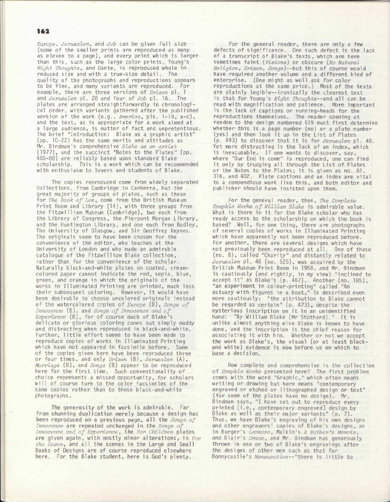## 162

*Europe, Jerusalem,* and *Job* can be given full size (some of the smaller prints are reproduced as many as eleven to a page), and every print which is larger than this, such as the large color prints, Young's *Night Thoughts*, and Dante, is reproduced whole in reduced size and with a true-size detail. The quality of the photographs and reproductions appears to be fine, and many variants are reproduced. For example, there are three versions of *Urizen* pl. 1 and *Jerusalem* pl. 28 and four of *Job* pl. 16. The plates are arranged straightforwardly in chronological order, with variants gathered after the published version of the work (e.g., America, pls. 1-18, a-c), and the text, as is appropriate for a work aimed at a large audience, is matter of fact and unpretentious. The brief "Introduction: Blake as a graphic artist" (pp. 10-22) has the same merits and attitudes as Mr. Bindman's comprehensive *Blake as an artist*  (1977), and the succinct "Notes to the Plates" (pp. 465-88) are reliably based upon standard Blake scholarship. This is a work which can be recommended with enthusiasm to lovers and students of Blake.

The copies reproduced come from widely separated collections , from Cambridge to Canberra, but the great majority of groups of plates, such as those for *The Book of Los*, come from the British Museum Print Room and Library (14), with three groups from the Fitzwilliam Museum (Cambridge), two each from the Library of Congress, the Pierpont Morgan Library, and the Huntington Library, and one each from Bodley, The University of Glasgow, and Sir Geoffrey Keynes. The originals seem to have been chosen for the convenience of the editor, who teaches at the University of London and who made an admirable catalogue of the Fitzwilliam Blake collection, rather than for the convenience of the scholar. Naturally black-and-white plates on coated, creamcolored paper cannot indicate the red, sepia, blue, green, and orange in which the originals of the works in Illuminated Printing are printed, much less their subsequent coloring. However, it would have been desirable to choose uncolored originals instead of the watercolored copies of *Europe* (B), *Songs of Innocence* (B), and *Songs of Innocence and of Experience* (B), for of course much of Blake's delicate or glorious coloring comes out simply muddy and distracting when reproduced in black-and-white. Further, little effort seems to have been made to reproduce copies of works in Illuminated Printing which have not appeared in facsimile before. Some of the copies given here have been reproduced three or four times , and only *Urizen* (B) , *Jerusalem* (A), *Marriage* (B), and *Songs* (B) appear to be reproduced here for the first time. Such conventionality of choice represents a missed opportunity, for scholars will of course turn to the color facsimiles of the same copies rather than to these black-and-white photographs.

The generosity of the work is admirable. Far from shunning duplication merely because a design has been reproduced on a previous page, all the *Songs of* Innocence are repeated unchanged in the Songs of *Innocence and of Experience*, the For Children plates are given again, with mostly minor alterations, in *For* the Sexes, and all the scenes in the Large and Small Books of Designs are of course reproduced elsewhere here. For the Blake student, here is God's plenty.

For the general reader, there *are* only a few defects of significance. One such defect is the lack of a transcript of Blake's texts, which are here sometimes faint (*Visions*) or obscure (*No Natural Religion, Urizen, Songs*)--but this of course would have required another volume and a different kind of enterprise. (One might as well ask for color reproductions at the same price.) Most of the texts are plainly legible--ironically the clearest text is that for Young's *Night Thoughts--and all can be* read with magnification and patience. More important is the lack of captions or running-heads for the reproductions themselves. The reader opening at random to the design numbered 519 must first determine whether this is a page number (no) or a plate number (yes) and then look it up in the List of Plates (p. 493) to discover that it is for *Jerusalem* pl. 40. Yet more distracting is the lack of an index, which is inexcusable. If one wants to discover, say, where "Our End is come" is reproduced, one can find it only by trudging all through the List of Plates or the Notes to the Plates; it is given as no. 81, 316, and 402. Plate captions and an index are vital to a compendious work like this, and both editor and publisher should have insisted upon them.

For the general reader, then, *The Complete Graphic Works of William Blake* is admirable value. What is there in it for the Blake scholar who has ready access to the scholarship on which the book is based? Well, for one thing, there are photographs of several copies of works in Illuminated Printing which have apparently not been reproduced before. For another, there are several designs which have not previously been reproduced at all. One of these (no. 8), called "Charity" and distantly related to Jerusalem pl. 46 (no. 525), was acquired by the British Museum Print Room in 1958, and Mr. Bindman is cautiously (and rightly, in my view) "inclined to accept it" as Blake's (p. 467). Another (no. 185), "an experiment in colour-printing" called "An estuary with figures in a boat," is described even more cautiously: "the attribution to Blake cannot be regarded as certain" (p. 473), despite the mysterious inscription on it in an unidentified hand: "By William Blake (Mr Stothard)." It is unlike almost anything else Blake is known to have done, and the inscription is the chief reason for associating it with him. Whether or not we accept the work as Blake's, the visual (or at least blackand white) evidence is now before us on which to base a decision .

How complete and comprehensive is the collection of *Graphic Works* presented here? The first problem comes with the word "Graphic," which often means writing or drawing but here means "contemporary engraved or etched or lithographed design or text" (for some of the plates have no design). Mr. Bindman says, "I have set out to reproduce every printed [i.e., contemporary engraved] design by Blake as well as their major variants" (p. 7). Thus, we have Blake's engraving of his own designs and other engravers' copies of Blake's designs, as in Burger's *Leonora*, Malkin's A Father's Memoir, and Blair' s *Grave,* and Mr. Bindman has generously thrown in one or two of Blake's engravings after the designs of other men such as that for Bonnycastle's *Mensuration*--"there is little to